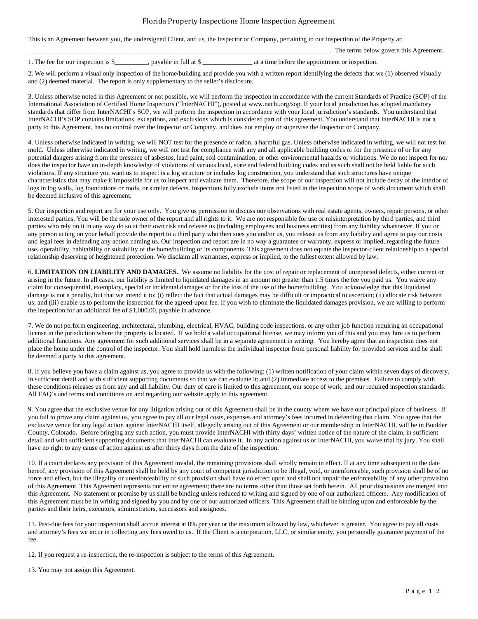## Florida Property Inspections Home Inspection Agreement

This is an Agreement between you, the undersigned Client, and us, the Inspector or Company, pertaining to our inspection of the Property at:

|                                     |                                   | The terms below govern this Agreement.          |
|-------------------------------------|-----------------------------------|-------------------------------------------------|
| 1. The fee for our inspection is \$ | . pavable in full at $\mathcal S$ | at a time before the appointment or inspection. |

2. We will perform a visual only inspection of the home/building and provide you with a written report identifying the defects that we (1) observed visually and (2) deemed material. The report is only supplementary to the seller's disclosure.

3. Unless otherwise noted in this Agreement or not possible, we will perform the inspection in accordance with the current Standards of Practice (SOP) of the International Association of Certified Home Inspectors ("InterNACHI"), posted at www.nachi.org/sop. If your local jurisdiction has adopted mandatory standards that differ from InterNACHI's SOP, we will perform the inspection in accordance with your local jurisdiction's standards. You understand that InterNACHI's SOP contains limitations, exceptions, and exclusions which is considered part of this agreement. You understand that InterNACHI is not a party to this Agreement, has no control over the Inspector or Company, and does not employ or supervise the Inspector or Company.

4. Unless otherwise indicated in writing, we will NOT test for the presence of radon, a harmful gas. Unless otherwise indicated in writing, we will not test for mold. Unless otherwise indicated in writing, we will not test for compliance with any and all applicable building codes or for the presence of or for any potential dangers arising from the presence of asbestos, lead paint, soil contamination, or other environmental hazards or violations. We do not inspect for nor does the inspector have an in-depth knowledge of violations of various local, state and federal building codes and as such shall not be held liable for such violations. If any structure you want us to inspect is a log structure or includes log construction, you understand that such structures have unique characteristics that may make it impossible for us to inspect and evaluate them. Therefore, the scope of our inspection will not include decay of the interior of logs in log walls, log foundations or roofs, or similar defects. Inspections fully exclude items not listed in the inspection scope of work document which shall be deemed inclusive of this agreement.

5. Our inspection and report are for your use only. You give us permission to discuss our observations with real estate agents, owners, repair persons, or other interested parties. You will be the sole owner of the report and all rights to it. We are not responsible for use or misinterpretation by third parties, and third parties who rely on it in any way do so at their own risk and release us (including employees and business entities) from any liability whatsoever. If you or any person acting on your behalf provide the report to a third party who then sues you and/or us, you release us from any liability and agree to pay our costs and legal fees in defending any action naming us. Our inspection and report are in no way a guarantee or warranty, express or implied, regarding the future use, operability, habitability or suitability of the home/building or its components. This agreement does not equate the inspector-client relationship to a special relationship deserving of heightened protection. We disclaim all warranties, express or implied, to the fullest extent allowed by law.

6. **LIMITATION ON LIABILITY AND DAMAGES.** We assume no liability for the cost of repair or replacement of unreported defects, either current or arising in the future. In all cases, our liability is limited to liquidated damages in an amount not greater than 1.5 times the fee you paid us. You waive any claim for consequential, exemplary, special or incidental damages or for the loss of the use of the home/building. You acknowledge that this liquidated damage is not a penalty, but that we intend it to: (i) reflect the fact that actual damages may be difficult or impractical to ascertain; (ii) allocate risk between us; and (iii) enable us to perform the inspection for the agreed-upon fee. If you wish to eliminate the liquidated damages provision, we are willing to perform the inspection for an additional fee of \$1,000.00, payable in advance.

7. We do not perform engineering, architectural, plumbing, electrical, HVAC, building code inspections, or any other job function requiring an occupational license in the jurisdiction where the property is located. If we hold a valid occupational license, we may inform you of this and you may hire us to perform additional functions. Any agreement for such additional services shall be in a separate agreement in writing. You hereby agree that an inspection does not place the home under the control of the inspector. You shall hold harmless the individual inspector from personal liability for provided services and he shall be deemed a party to this agreement.

8. If you believe you have a claim against us, you agree to provide us with the following: (1) written notification of your claim within seven days of discovery, in sufficient detail and with sufficient supporting documents so that we can evaluate it; and (2) immediate access to the premises. Failure to comply with these conditions releases us from any and all liability. Our duty of care is limited to this agreement, our scope of work, and our required inspection standards. All FAQ's and terms and conditions on and regarding our website apply to this agreement.

9. You agree that the exclusive venue for any litigation arising out of this Agreement shall be in the county where we have our principal place of business. If you fail to prove any claim against us, you agree to pay all our legal costs, expenses and attorney's fees incurred in defending that claim. You agree that the exclusive venue for any legal action against InterNACHI itself, allegedly arising out of this Agreement or our membership in InterNACHI, will be in Boulder County, Colorado. Before bringing any such action, you must provide InterNACHI with thirty days' written notice of the nature of the claim, in sufficient detail and with sufficient supporting documents that InterNACHI can evaluate it. In any action against us or InterNACHI, you waive trial by jury. You shall have no right to any cause of action against us after thirty days from the date of the inspection.

10. If a court declares any provision of this Agreement invalid, the remaining provisions shall wholly remain in effect. If at any time subsequent to the date hereof, any provision of this Agreement shall be held by any court of competent jurisdiction to be illegal, void, or unenforceable, such provision shall be of no force and effect, but the illegality or unenforceability of such provision shall have no effect upon and shall not impair the enforceability of any other provision of this Agreement. This Agreement represents our entire agreement; there are no terms other than those set forth herein. All prior discussions are merged into this Agreement. No statement or promise by us shall be binding unless reduced to writing and signed by one of our authorized officers. Any modification of this Agreement must be in writing and signed by you and by one of our authorized officers. This Agreement shall be binding upon and enforceable by the parties and their heirs, executors, administrators, successors and assignees.

11. Past-due fees for your inspection shall accrue interest at 8% per year or the maximum allowed by law, whichever is greater. You agree to pay all costs and attorney's fees we incur in collecting any fees owed to us. If the Client is a corporation, LLC, or similar entity, you personally guarantee payment of the fee.

12. If you request a re-inspection, the re-inspection is subject to the terms of this Agreement.

13. You may not assign this Agreement.